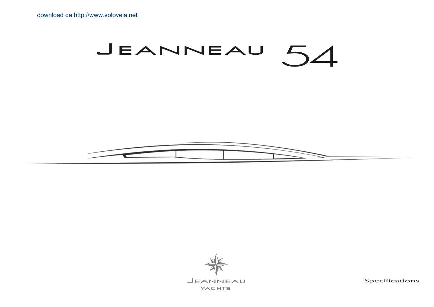# JEANNEAU  $.54$





JEANNEAU **YACHTS** 

Specifications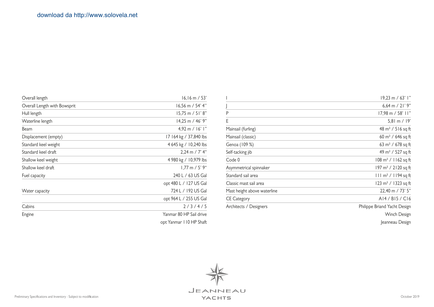| Overall length               | $16, 16 \text{ m} / 53$    |  |  |
|------------------------------|----------------------------|--|--|
| Overall Length with Bowsprit | $16,56$ m / 54' 4"         |  |  |
| Hull length                  | $15,75 \text{ m} / 51' 8"$ |  |  |
| Waterline length             | $14,25 \text{ m}$ / 46' 9" |  |  |
| Beam                         | $4,92 \text{ m} / 16'$ l"  |  |  |
| Displacement (empty)         | 17 164 kg / 37,840 lbs     |  |  |
| Standard keel weight         | 4 645 kg / 10,240 lbs      |  |  |
| Standard keel draft          | $2,24 \text{ m}$ / 7' 4"   |  |  |
| Shallow keel weight          | 4 980 kg / 10,979 lbs      |  |  |
| Shallow keel draft           | $1.77$ m / 5' 9"           |  |  |
| Fuel capacity                | 240 L / 63 US Gal          |  |  |
|                              | opt 480 L / 127 US Gal     |  |  |
| Water capacity               | 724 L / 192 US Gal         |  |  |
|                              | opt 964 L / 255 US Gal     |  |  |
| Cabins                       | 2/3/4/5                    |  |  |
| Engine                       | Yanmar 80 HP Sail drive    |  |  |
|                              | opt Yanmar 110 HP Shaft    |  |  |

|                             | 19,23 m / 63' l"                       |
|-----------------------------|----------------------------------------|
|                             | 6,64 m / $21'$ 9"                      |
| P                           | $17,98 \text{ m} / 58'$ 11"            |
| Е                           | 5,81 m $/$ 19'                         |
| Mainsail (furling)          | 48 m <sup>2</sup> / 516 sq ft          |
| Mainsail (classic)          | 60 m <sup>2</sup> / 646 sq ft          |
| Genoa (109 %)               | 63 m <sup>2</sup> / 678 sq ft          |
| Self-tacking jib            | 49 m <sup>2</sup> / 527 sq ft          |
| Code 0                      | $108 \text{ m}^2 / 1162 \text{ sq ft}$ |
| Asymmetrical spinnaker      | 197 m <sup>2</sup> / 2120 sq ft        |
| Standard sail area          | $111 \text{ m}^2 / 1194 \text{ sq ft}$ |
| Classic mast sail area      | 123 m <sup>2</sup> / 1323 sq ft        |
| Mast height above waterline | 22,40 m / 73' 5"                       |
| <b>CE Category</b>          | AI4/BI5/CI6                            |
| Architects / Designers      | Philippe Briand Yacht Design           |
|                             | Winch Design                           |
|                             | Jeanneau Design                        |

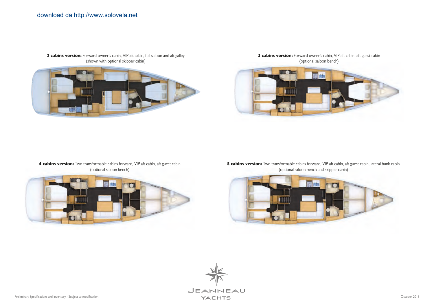

**2 cabins version:** Forward owner's cabin, VIP aft cabin, full saloon and aft galley (shown with optional skipper cabin)

**3 cabins version:** Forward owner's cabin, VIP aft cabin, aft guest cabin (optional saloon bench)



## **4 cabins version:** Two transformable cabins forward, VIP aft cabin, aft guest cabin (optional saloon bench)



**5 cabins version:** Two transformable cabins forward, VIP aft cabin, aft guest cabin, lateral bunk cabin (optional saloon bench and skipper cabin)



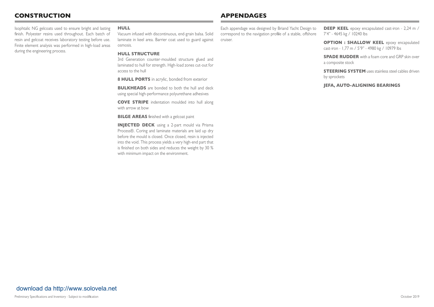## **CONSTRUCTION APPENDAGES**

Isophtalic NG gelcoats used to ensure bright and lasting finish. Polyester resins used throughout. Each batch of resin and gelcoat receives laboratory testing before use. Finite element analysis was performed in high-load areas during the engineering process.

#### **HULL**

Vacuum infused with discontinuous, end-grain balsa. Solid laminate in keel area. Barrier coat used to guard against osmosis.

#### **HULL STRUCTURE**

3rd Generation counter-moulded structure glued and laminated to hull for strength. High-load zones cut-out for access to the hull

**8 HULL PORTS** in acrylic, bonded from exterior

**BULKHEADS** are bonded to both the hull and deck using special high-performance polyurethane adhesives

**COVE STRIPE** indentation moulded into hull along with arrow at bow

**BILGE AREAS** finished with a gelcoat paint

**INJECTED DECK** using a 2-part mould via Prisma Process®. Coring and laminate materials are laid up dry before the mould is closed. Once closed, resin is injected into the void. This process yields a very high-end part that is finished on both sides and reduces the weight by 30 % with minimum impact on the environment.

Each appendage was designed by Briand Yacht Design to correspond to the navigation profile of a stable, offshore cruiser.

**DEEP KEEL** epoxy encapsulated cast-iron - 2,24 m / 7'4" - 4645 kg / 10240 lbs

**OPTION : SHALLOW KEEL** epoxy encapsulated cast-iron - 1,77 m / 5'9" - 4980 kg / 10979 lbs

**SPADE RUDDER** with a foam core and GRP skin over a composite stock

**STEERING SYSTEM** uses stainless steel cables driven by sprockets

#### **JEFA, AUTO-ALIGNING BEARINGS**

## [download da http://www.solovela.net](http://www.solovela.net)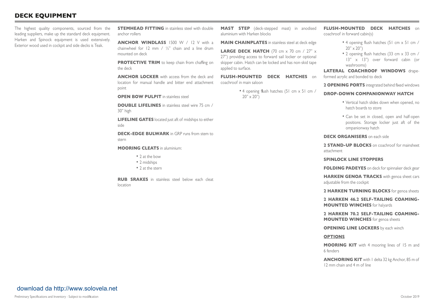## **DECK EQUIPMENT**

The highest quality components, sourced from the leading suppliers, make up the standard deck equipment. Harken and Spinock equipment is used extensively. Exterior wood used in cockpit and side decks is Teak.

**STEMHEAD FITTING** in stainless steel with double anchor rollers

**ANCHOR WINDLASS** 1500 W / 12 V with a chainwheel for 12 mm / ½" chain and a line drum mounted on deck

**PROTECTIVE TRIM** to keep chain from chaffing on the deck

**ANCHOR LOCKER** with access from the deck and location for manual handle and bitter end attachment point

**OPEN BOW PULPIT** in stainless steel

**DOUBLE LIFELINES** in stainless steel wire 75 cm / 30" high

**LIFELINE GATES** located just aft of midships to either side

**DECK-EDGE BULWARK** in GRP runs from stem to stern

**MOORING CLEATS** in aluminium:

- 2 at the bow
- 2 midships
- 2 at the stern

**RUB SRAKES** in stainless steel below each cleat location

**MAST STEP** (deck-stepped mast) in anodised aluminium with Harken blocks

**MAIN CHAINPLATES** in stainless steel at deck edge

**LARGE DECK HATCH** (70 cm x 70 cm / 27" x 27") providing access to forward sail locker or optional skipper cabin. Hatch can be locked and has non-skid tape applied to surface.

**FLUSH-MOUNTED DECK HATCHES** on coachroof in main saloon

> • 4 opening flush hatches (51 cm x 51 cm /  $20" \times 20"$

**FLUSH-MOUNTED DECK HATCHES** on coachroof in forward cabin(s)

- 4 opening flush hatches (51 cm x 51 cm /  $20" \times 20"$
- 2 opening flush hatches (33 cm x 33 cm / 13" x 13") over forward cabin (or washrooms)

**LATERAL COACHROOF WINDOWS** drapeformed acrylic and bonded to deck

**2 OPENING PORTS** integrated behind fixed windows

#### **DROP-DOWN COMPANIONWAY HATCH**

- Vertical hatch slides down when opened, no hatch boards to store
- Can be set in closed, open and half-open positions. Storage locker just aft of the ompanionway hatch

#### **DECK ORGANISERS** on each side

**2 STAND-UP BLOCKS** on coachroof for mainsheet attachment

#### **SPINLOCK LINE STOPPERS**

**FOLDING PADEYES** on deck for spinnaker deck gear

**HARKEN GENOA TRACKS** with genoa sheet cars adjustable from the cockpit

**2 HARKEN TURNING BLOCKS** for genoa sheets

**2 HARKEN 46.2 SELF-TAILING COAMING-MOUNTED WINCHES** for halyards

**2 HARKEN 70.2 SELF-TAILING COAMING-MOUNTED WINCHES** for genoa sheets

**OPENING LINE LOCKERS** by each winch

#### **OPTIONS**

**MOORING KIT** with 4 mooring lines of 15 m and 6 fenders

**ANCHORING KIT** with 1 delta 32 kg Anchor, 85 m of 12 mm chain and 4 m of line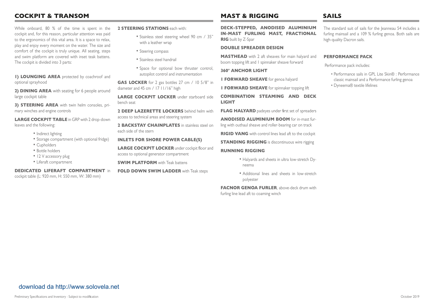## **COCKPIT & TRANSOM**

While onboard, 80 % of the time is spent in the cockpit and, for this reason, particular attention was paid to the ergonomics of this vital area. It is a space to relax, play and enjoy every moment on the water. The size and comfort of the cockpit is truly unique. All seating, steps and swim platform are covered with inset teak battens. The cockpit is divided into 3 parts:

**1) LOUNGING AREA** protected by coachroof and optional sprayhood

**2) DINING AREA** with seating for 6 people around large cockpit table

**3) STEERING AREA** with twin helm consoles, primary winches and engine controls

**LARGE COCKPIT TABLE** in GRP with 2 drop-down leaves and the following:

- Indirect lighting
- Storage compartment (with optional fridge)
- Cupholders
- Bottle holders
- 12 V accessory plug
- Liferaft compartment

#### **DEDICATED LIFERAFT COMPARTMENT** in

cockpit table (L: 920 mm, H: 550 mm, W: 380 mm)

**2 STEERING STATIONS** each with:

- Stainless steel steering wheel 90 cm / 35" with a leather wrap
- Steering compass
- Stainless steel handrail
- Space for optional bow thruster control, autopilot control and instrumentation

**GAS LOCKER** for 2 gas bottles 27 cm / 10 5/8" in diameter and 45 cm / 17 11/16" high

**LARGE COCKPIT LOCKER** under starboard side bench seat

**2 DEEP LAZERETTE LOCKERS** behind helm with access to technical areas and steering system

**2 BACKSTAY CHAINPLATES** in stainless steel on each side of the stern

#### **INLETS FOR SHORE POWER CABLE(S)**

**LARGE COCKPIT LOCKER** under cockpit floor and access to optional generator compartment

**SWIM PLATFORM** with Teak battens

**FOLD DOWN SWIM LADDER** with Teak steps

## **MAST & RIGGING SAILS**

**DECK-STEPPED, ANODISED ALUMINIUM IN-MAST FURLING MAST, FRACTIONAL RIG** built by Z-Spar

#### **DOUBLE SPREADER DESIGN**

**MASTHEAD** with 2 aft sheaves for main halyard and boom topping lift and 1 spinnaker sheave forward

#### **360° ANCHOR LIGHT**

**1 FORWARD SHEAVE** for genoa halyard

**1 FORWARD SHEAVE** for spinnaker topping lift

**COMBINATION STEAMING AND DECK LIGHT**

**FLAG HALYARD** padeyes under first set of spreaders

**ANODISED ALUMINIUM BOOM** for in-mast furling with outhaul sheave and roller-bearing car on track

**RIGID VANG** with control lines lead aft to the cockpit

**STANDING RIGGING** is discontinuous wire rigging

#### **RUNNING RIGGING**

- Halyards and sheets in ultra low-stretch Dyneema
- Additional lines and sheets in low-stretch polyester

**FACNOR GENOA FURLER**, above-deck drum with furling line lead aft to coaming winch

The standard suit of sails for the Jeanneau 54 includes a furling mainsail and a 109 % furling genoa. Both sails are high-quality Dacron sails.

#### **PERFORMANCE PACK**

Performance pack includes:

- Performance sails in GPL Lite Skin® : Performance classic mainsail and a Performance furling genoa
- Dyneema® textile lifelines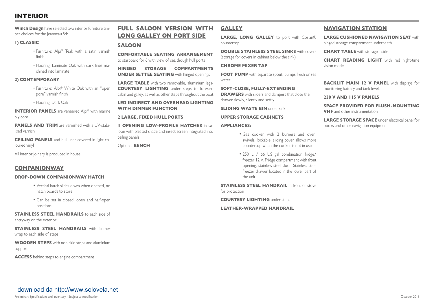## **INTERIOR**

**Winch Design** have selected two interior furniture timber choices for the Jeanneau 54:

#### **1) CLASSIC**

- Furniture: Alpi® Teak with a satin varnish finish
- Flooring: Laminate Oak with dark lines machined into laminate

#### **2) CONTEMPORARY**

- Furniture: Alpi® White Oak with an "open pore" varnish finish
- Flooring: Dark Oak

**INTERIOR PANELS** are veneered Alpi® with marine ply core

**PANELS AND TRIM** are varnished with a UV-stabilised varnish

**CEILING PANELS** and hull liner covered in light-coloured vinyl

All interior joinery is produced in house

## **COMPANIONWAY**

#### **DROP-DOWN COMPANIONWAY HATCH**

- Vertical hatch slides down when opened, no hatch boards to store
- Can be set in closed, open and half-open positions

**STAINLESS STEEL HANDRAILS** to each side of entryway on the exterior

**STAINLESS STEEL HANDRAILS** with leather wrap to each side of steps

**WOODEN STEPS** with non-skid strips and aluminium supports

**ACCESS** behind steps to engine compartment

## **FULL SALOON VERSION WITH LONG GALLEY ON PORT SIDE**

### **SALOON**

**COMFORTABLE SEATING ARRANGEMENT** to starboard for 6 with view of sea though hull ports

**HINGED STORAGE COMPARTMENTS UNDER SETTEE SEATING** with hinged openings

**LARGE TABLE** with two removable, aluminium legs-**COURTESY LIGHTING** under steps to forward cabin and galley, as well as other steps throughout the boat

### **LED INDIRECT AND OVERHEAD LIGHTING WITH DIMMER FUNCTION**

#### **2 LARGE, FIXED HULL PORTS**

**4 OPENING LOW-PROFILE HATCHES** in saloon with pleated shade and insect screen integrated into ceiling panels

Optional **BENCH**

### **GALLEY**

**LARGE, LONG GALLEY** to port with Corian® countertop

**DOUBLE STAINLESS STEEL SINKS** with covers (storage for covers in cabinet below the sink)

#### **CHROME MIXER TAP**

**FOOT PUMP** with separate spout, pumps fresh or sea water

**SOFT-CLOSE, FULLY-EXTENDING DRAWERS** with sliders and dampers that close the drawer slowly, silently and softly

**SLIDING WASTE BIN** under sink

#### **UPPER STORAGE CABINETS**

#### **APPLIANCES:**

- Gas cooker with 2 burners and oven, swivels, lockable, sliding cover allows more countertop when the cooker is not in use
- 250 L / 66 US gal combination fridge/ freezer 12 V. Fridge compartment with front opening, stainless steel door. Stainless steel freezer drawer located in the lower part of the unit

**STAINLESS STEEL HANDRAIL** in front of stove for protection

**COURTESY LIGHTING** under steps

**LEATHER-WRAPPED HANDRAIL**

## **NAVIGATION STATION**

**LARGE CUSHIONED NAVIGATION SEAT** with hinged storage compartment underneath

**CHART TABLE** with storage inside

**CHART READING LIGHT** with red night-time vision mode

**BACKLIT MAIN 12 V PANEL** with displays for monitoring battery and tank levels

#### **230 V AND 115 V PANELS**

**SPACE PROVIDED FOR FLUSH-MOUNTING VHF** and other instrumentation

**LARGE STORAGE SPACE** under electrical panel for books and other navigation equipment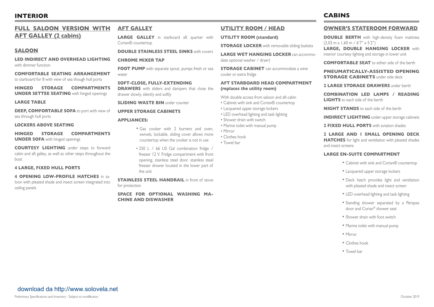## **INTERIOR**

## **FULL SALOON VERSION WITH AFT GALLEY (2 cabins)**

### **SALOON**

**LED INDIRECT AND OVERHEAD LIGHTING** with dimmer function

**COMFORTABLE SEATING ARRANGEMENT** to starboard for 8 with view of sea though hull ports

**HINGED STORAGE COMPARTMENTS UNDER SETTEE SEATING** with hinged openings

**LARGE TABLE**

**DEEP, COMFORTABLE SOFA** to port with view of sea through hull ports

#### **LOCKERS ABOVE SEATING**

**HINGED STORAGE COMPARTMENTS UNDER SOFA** with hinged openings

**COURTESY LIGHTING** under steps to forward cabin and aft galley, as well as other steps throughout the boat

#### **4 LARGE, FIXED HULL PORTS**

**4 OPENING LOW-PROFILE HATCHES** in saloon with pleated shade and insect screen integrated into ceiling panels

#### **AFT GALLEY**

**LARGE GALLEY** in starboard aft quarter with Corian® countertop

#### **DOUBLE STAINLESS STEEL SINKS** with covers

#### **CHROME MIXER TAP**

**FOOT PUMP** with separate spout, pumps fresh or sea water

**SOFT-CLOSE, FULLY-EXTENDING DRAWERS** with sliders and dampers that close the drawer slowly, silently and softly

**SLIDING WASTE BIN** under counter

#### **UPPER STORAGE CABINETS**

#### **APPLIANCES:**

- Gas cooker with 2 burners and oven, swivels, lockable, sliding cover allows more countertop when the cooker is not in use
- 250 L / 66 US Gal combination fridge / freezer 12 V. Fridge compartment with front opening, stainless steel door. stainless steel freezer drawer located in the lower part of the unit

**STAINLESS STEEL HANDRAIL** in front of stove for protection

**SPACE FOR OPTIONAL WASHING MA-CHINE AND DISWASHER**

#### **UTILITY ROOM / HEAD**

#### **UTILITY ROOM (standard)**

**STORAGE LOCKER** with removable sliding baskets

**LARGE WET HANGING LOCKER** can accommodate optional washer / dryer)

**STORAGE CABINET** can accommodate a wine cooler or extra fridge

#### **AFT STARBOARD HEAD COMPARTMENT (replaces the utility room)**

With double access from saloon and aft cabin

- Cabinet with sink and Corian® countertop
- Lacquered upper storage lockers
- LED overhead lighting and task lighting
- Shower drain with switch
- Marine toilet with manual pump
- Mirror
- Clothes hook
- Towel bar

**CABINS**

#### **OWNER'S STATEROOM FORWARD**

**DOUBLE BERTH** with high-density foam mattress (2,03 m x 1,60 m / 6'7" x 5'2")

**LARGE, DOUBLE HANGING LOCKER** with interior courtesy lighting and storage in lower unit

**COMFORTABLE SEAT** to either side of the berth

**PNEUMATICALLY-ASSISTED OPENING STORAGE CABINETS** under side deck

**2 LARGE STORAGE DRAWERS** under berth

**COMBINATION LED LAMPS / READING LIGHTS** to each side of the berth

**NIGHT STANDS** to each side of the berth

**INDIRECT LIGHTING** under upper storage cabinets

**2 FIXED HULL PORTS** with aviation shades

#### **2 LARGE AND 1 SMALL OPENING DECK**

**HATCHES** for light and ventilation with pleated shades and insect screens

#### **LARGE EN-SUITE COMPARTMENT**

- Cabinet with sink and Corian® countertop
- Lacquered upper storage lockers
- Deck hatch provides light and ventilation with pleated shade and insect screen
- LED overhead lighting and task lighting
- Standing shower separated by a Perspex door and Corian® shower seat
- Shower drain with foot switch
- Marine toilet with manual pump
- Mirror
- Clothes hook
- Towel bar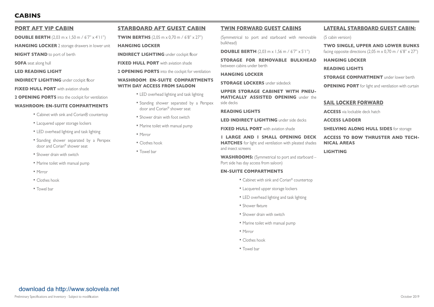## **CABINS**

#### **PORT AFT VIP CABIN**

**DOUBLE BERTH**  $(2.03 \text{ m} \times 1.50 \text{ m} / 6'7'' \times 4'11'')$ 

**HANGING LOCKER** 2 storage drawers in lower unit

**NIGHT STAND** to port of berth

**SOFA** seat along hull

**LED READING LIGHT**

**INDIRECT LIGHTING** under cockpit floor

**FIXED HULL PORT** with aviation shade

**2 OPENING PORTS** into the cockpit for ventilation

#### **WASHROOM: EN-SUITE COMPARTMENTS**

- Cabinet with sink and Corian® countertop
- Lacquered upper storage lockers
- LED overhead lighting and task lighting
- Standing shower separated by a Perspex door and Corian® shower seat
- Shower drain with switch
- Marine toilet with manual pump
- Mirror
- Clothes hook
- Towel bar

### **STARBOARD AFT GUEST CABIN**

**TWIN BERTHS** (2,05 m x 0,70 m / 6'8" x 27")

**HANGING LOCKER**

**INDIRECT LIGHTING** under cockpit floor

**FIXED HULL PORT** with aviation shade

**2 OPENING PORTS** into the cockpit for ventilation

#### **WASHROOM**: **EN-SUITE COMPARTMENTS WITH DAY ACCESS FROM SALOON**

- LED overhead lighting and task lighting
- Standing shower separated by a Perspex door and Corian® shower seat
- Shower drain with foot switch
- Marine toilet with manual pump
- Mirror
- Clothes hook
- Towel bar

#### **TWIN FORWARD GUEST CABINS**

(Symmetrical to port and starboard with removable bulkhead)

**DOUBLE BERTH** (2.03 m x 1.56 m / 6'7" x 5'1")

**STORAGE FOR REMOVABLE BULKHEAD** between cabins under berth

#### **HANGING LOCKER**

#### **STORAGE LOCKERS** under sidedeck

**UPPER STORAGE CABINET WITH PNEU-MATICALLY ASSISTED OPENING** under the side decks

#### **READING LIGHTS**

**LED INDIRECT LIGHTING** under side decks

**FIXED HULL PORT** with aviation shade

**1 LARGE AND 1 SMALL OPENING DECK HATCHES** for light and ventilation with pleated shades and insect screens

WASHROOMS: (Symmetrical to port and starboard – Port side has day access from saloon)

#### **EN-SUITE COMPARTMENTS**

- Cabinet with sink and Corian® countertop
- Lacquered upper storage lockers
- LED overhead lighting and task lighting
- Shower fixture
- Shower drain with switch
- Marine toilet with manual pump
- Mirror
- Clothes hook
- Towel bar

## **LATERAL STARBOARD GUEST CABIN:**

(5 cabin version)

**TWO SINGLE, UPPER AND LOWER BUNKS** facing opposite directions (2.05 m  $\times$  0.70 m / 6'8"  $\times$  27")

**HANGING LOCKER**

**READING LIGHTS** 

**STORAGE COMPARTMENT** under lower berth

**OPENING PORT** for light and ventilation with curtain

#### **SAIL LOCKER FORWARD**

**ACCESS** via lockable deck hatch

**ACCESS LADDER**

**SHELVING ALONG HULL SIDES** for storage

**ACCESS TO BOW THRUSTER AND TECH-NICAL AREAS**

**LIGHTING**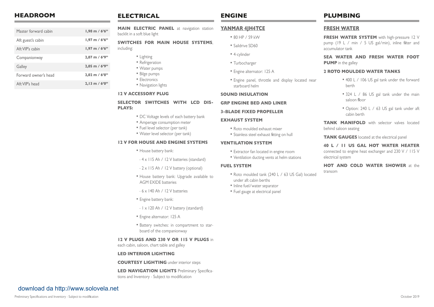| <b>HEADROOM</b> | <b>ELECTRICAL</b> | <b>ENGINE</b> | <b>PLUMBING</b> |
|-----------------|-------------------|---------------|-----------------|
|                 |                   |               |                 |

| Master forward cabin | $1,98 \text{ m} / 6,6$   |
|----------------------|--------------------------|
| Aft guest's cabin    | $1,97 \text{ m} / 6,6$   |
| Aft VIP's cabin      | $1,97$ m / 6'6"          |
| Companionway         | $2,07$ m / $6'9''$       |
| Galley               | $2,05$ m / $6'9''$       |
| Forward owner's head | $2.02$ m / $6'8''$       |
| Aft VIP's head       | $2,13 \text{ m} / 6'0''$ |

**MAIN ELECTRIC PANEL** at navigation station backlit in a soft blue light

#### **SWITCHES FOR MAIN HOUSE SYSTEMS**,

including:

- Lighting
- Refrigeration
- Water pumps
- Bilge pumps
- Electronics
- Navigation lights

#### **12 V ACCESSORY PLUG**

#### SELECTOR SWITCHES WITH LCD DIS-**PLAYS:**

- DC Voltage levels of each battery bank
- Amperage consumption meter
- Fuel level selector (per tank)
- Water level selector (per tank)

#### **12 V FOR HOUSE AND ENGINE SYSTEMS**

- House battery bank:
- 4 x 115 Ah / 12 V batteries (standard)
- 2 x 115 Ah / 12 V battery (optional)
- House battery bank: Upgrade available to AGM EXIDE batteries
- 6 x 140 Ah / 12 V batteries
- Engine battery bank:
- 1 x 120 Ah / 12 V battery (standard)
- Engine alternator: 125 A
- Battery switches: in compartment to starboard of the companionway

#### **12 V PLUGS AND 230 V OR 115 V PLUGS** in

each cabin, saloon, chart table and galley

#### **LED INTERIOR LIGHTING**

**COURTESY LIGHTING** under interior steps

**LED NAVIGATION LIGHTS** Preliminary Specifications and Inventory - Subject to modification

## **ENGINE**

#### **YANMAR 4JH4TCE**

- 80 HP / 59 kW
- Saildrive SD60
- 4-cylinder
- Turbocharger
- Engine alternator: 125 A
- Engine panel, throttle and display located near starboard helm

#### **SOUND INSULATION**

#### **GRP ENGINE BED AND LINER**

#### **3-BLADE FIXED PROPELLER**

#### **EXHAUST SYSTEM**

- Roto moulded exhaust mixer
- Stainless steel exhaust fitting on hull

#### **VENTILATION SYSTEM**

- Extractor fan located in engine room
- Ventilation ducting vents at helm stations

#### **FUEL SYSTEM**

- Roto moulded tank (240 L / 63 US Gal) located under aft cabin berths
- Inline fuel/water separator
- Fuel gauge at electrical panel

### **FRESH WATER**

**FRESH WATER SYSTEM** with high-pressure 12 V pump (19 L / min / 5 US gal/min), inline filter and accumulator tank

**SEA WATER AND FRESH WATER FOOT PUMP** in the galley

#### **2 ROTO MOULDED WATER TANKS**

- 400 L / 106 US gal tank under the forward berth
- 324 L / 86 US gal tank under the main saloon floor
- Option: 240 L / 63 US gal tank under aft cabin berth

**TANK MANIFOLD** with selector valves located behind saloon seating

**TANK GAUGES** located at the electrical panel

## **40 L / 11 US GAL HOT WATER HEATER**

connected to engine heat exchanger and 230 V / 115 V electrical system

**HOT AND COLD WATER SHOWER** at the transom

## [download da http://www.solovela.net](http://www.solovela.net)